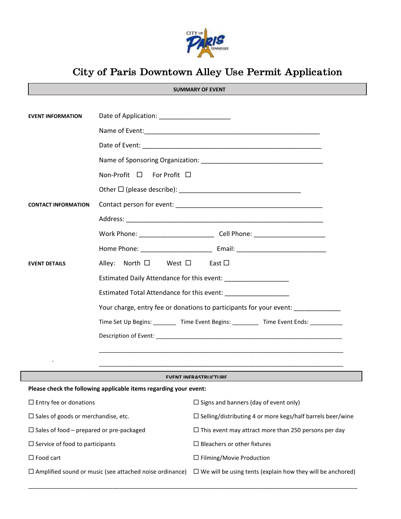

# **City of Paris Downtown Alley Use Permit Application**

| <b>EVENT INFORMATION</b>                                                   |                                                                                  |                                                                                        |  |  |
|----------------------------------------------------------------------------|----------------------------------------------------------------------------------|----------------------------------------------------------------------------------------|--|--|
|                                                                            |                                                                                  |                                                                                        |  |  |
|                                                                            |                                                                                  |                                                                                        |  |  |
|                                                                            |                                                                                  |                                                                                        |  |  |
|                                                                            | Non-Profit $\square$ For Profit $\square$                                        |                                                                                        |  |  |
|                                                                            |                                                                                  |                                                                                        |  |  |
| <b>CONTACT INFORMATION</b>                                                 |                                                                                  |                                                                                        |  |  |
|                                                                            |                                                                                  |                                                                                        |  |  |
|                                                                            |                                                                                  |                                                                                        |  |  |
|                                                                            |                                                                                  |                                                                                        |  |  |
| <b>EVENT DETAILS</b>                                                       | Alley: North $\Box$ West $\Box$ East $\Box$                                      |                                                                                        |  |  |
|                                                                            |                                                                                  | Estimated Daily Attendance for this event:                                             |  |  |
|                                                                            | Estimated Total Attendance for this event: ____________________                  |                                                                                        |  |  |
|                                                                            | Your charge, entry fee or donations to participants for your event: ____________ |                                                                                        |  |  |
|                                                                            |                                                                                  | Time Set Up Begins: _________ Time Event Begins: _________ Time Event Ends: __________ |  |  |
|                                                                            |                                                                                  |                                                                                        |  |  |
|                                                                            |                                                                                  |                                                                                        |  |  |
|                                                                            |                                                                                  |                                                                                        |  |  |
| <b>EVENT INFRASTRUCTURE</b>                                                |                                                                                  |                                                                                        |  |  |
| Please check the following applicable items regarding your event:          |                                                                                  |                                                                                        |  |  |
| $\Box$ Entry fee or donations $\Box$ Signs and banners (day of event only) |                                                                                  |                                                                                        |  |  |
| $\square$ Sales of goods or merchandise, etc.                              |                                                                                  | $\Box$ Selling/distributing 4 or more kegs/half barrels beer/wine                      |  |  |
| $\Box$ Sales of food – prepared or pre-packaged                            |                                                                                  | $\Box$ This event may attract more than 250 persons per day                            |  |  |
| $\Box$ Service of food to participants                                     |                                                                                  | $\Box$ Bleachers or other fixtures                                                     |  |  |
| $\Box$ Food cart                                                           |                                                                                  | $\Box$ Filming/Movie Production                                                        |  |  |
| $\Box$ Amplified sound or music (see attached noise ordinance)             |                                                                                  | $\Box$ We will be using tents (explain how they will be anchored)                      |  |  |

\_\_\_\_\_\_\_\_\_\_\_\_\_\_\_\_\_\_\_\_\_\_\_\_\_\_\_\_\_\_\_\_\_\_\_\_\_\_\_\_\_\_\_\_\_\_\_\_\_\_\_\_\_\_\_\_\_\_\_\_\_\_\_\_\_\_\_\_\_\_\_\_\_\_\_\_\_\_\_\_\_\_\_\_\_\_\_\_\_\_\_\_\_\_\_\_\_\_\_\_\_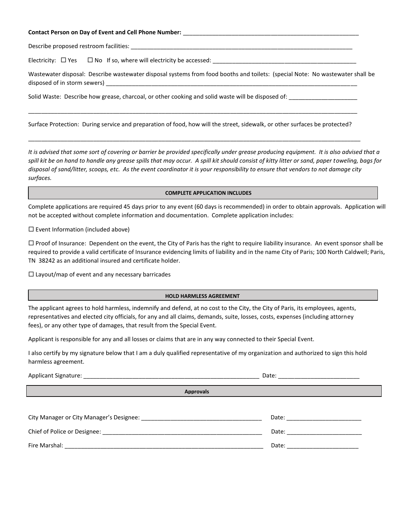#### **Contact Person on Day of Event and Cell Phone Number:** \_\_\_\_\_\_\_\_\_\_\_\_\_\_\_\_\_\_\_\_\_\_\_\_\_\_\_\_\_\_\_\_\_\_\_\_\_\_\_\_\_\_\_\_\_\_\_\_\_\_\_\_\_\_

Describe proposed restroom facilities:

Electricity:  $\Box$  Yes  $\Box$  No If so, where will electricity be accessed: \_\_\_\_\_\_\_\_

Wastewater disposal: Describe wastewater disposal systems from food booths and toilets: (special Note: No wastewater shall be disposed of in storm sewers) \_\_

Solid Waste: Describe how grease, charcoal, or other cooking and solid waste will be disposed of:

Surface Protection: During service and preparation of food, how will the street, sidewalk, or other surfaces be protected?

\_\_\_\_\_\_\_\_\_\_\_\_\_\_\_\_\_\_\_\_\_\_\_\_\_\_\_\_\_\_\_\_\_\_\_\_\_\_\_\_\_\_\_\_\_\_\_\_\_\_\_\_\_\_\_\_\_\_\_\_\_\_\_\_\_\_\_\_\_\_\_\_\_\_\_\_\_\_\_\_\_\_\_\_\_\_\_\_\_\_\_\_\_\_\_\_\_\_\_\_\_\_

\_\_\_\_\_\_\_\_\_\_\_\_\_\_\_\_\_\_\_\_\_\_\_\_\_\_\_\_\_\_\_\_\_\_\_\_\_\_\_\_\_\_\_\_\_\_\_\_\_\_\_\_\_\_\_\_\_\_\_\_\_\_\_\_\_\_\_\_\_\_\_\_\_\_\_\_\_\_\_\_\_\_\_\_\_\_\_\_\_\_\_\_\_\_\_\_\_\_\_\_\_

*It is advised that some sort of covering or barrier be provided specifically under grease producing equipment. It is also advised that a spill kit be on hand to handle any grease spills that may occur. A spill kit should consist of kitty litter or sand, paper toweling, bags for disposal of sand/litter, scoops, etc. As the event coordinator it is your responsibility to ensure that vendors to not damage city surfaces.*

### **COMPLETE APPLICATION INCLUDES**

Complete applications are required 45 days prior to any event (60 days is recommended) in order to obtain approvals. Application will not be accepted without complete information and documentation. Complete application includes:

 $\square$  Event Information (included above)

 $\Box$  Proof of Insurance: Dependent on the event, the City of Paris has the right to require liability insurance. An event sponsor shall be required to provide a valid certificate of Insurance evidencing limits of liability and in the name City of Paris; 100 North Caldwell; Paris, TN 38242 as an additional insured and certificate holder.

 $\Box$  Layout/map of event and any necessary barricades

# **HOLD HARMLESS AGREEMENT**

The applicant agrees to hold harmless, indemnify and defend, at no cost to the City, the City of Paris, its employees, agents, representatives and elected city officials, for any and all claims, demands, suite, losses, costs, expenses (including attorney fees), or any other type of damages, that result from the Special Event.

Applicant is responsible for any and all losses or claims that are in any way connected to their Special Event.

I also certify by my signature below that I am a duly qualified representative of my organization and authorized to sign this hold harmless agreement.

Applicant Signature: \_\_\_\_\_\_\_\_\_\_\_\_\_\_\_\_\_\_\_\_\_\_\_\_\_\_\_\_\_\_\_\_\_\_\_\_\_\_\_\_\_\_\_\_\_\_\_\_\_\_\_\_\_\_ Date: \_\_\_\_\_\_\_\_\_\_\_\_\_\_\_\_\_\_\_\_\_\_\_\_\_

 **Approvals**

| City Manager or City Manager's Designee: | Date: |
|------------------------------------------|-------|
| Chief of Police or Designee:             | Date: |
| Fire Marshal:                            | Date: |